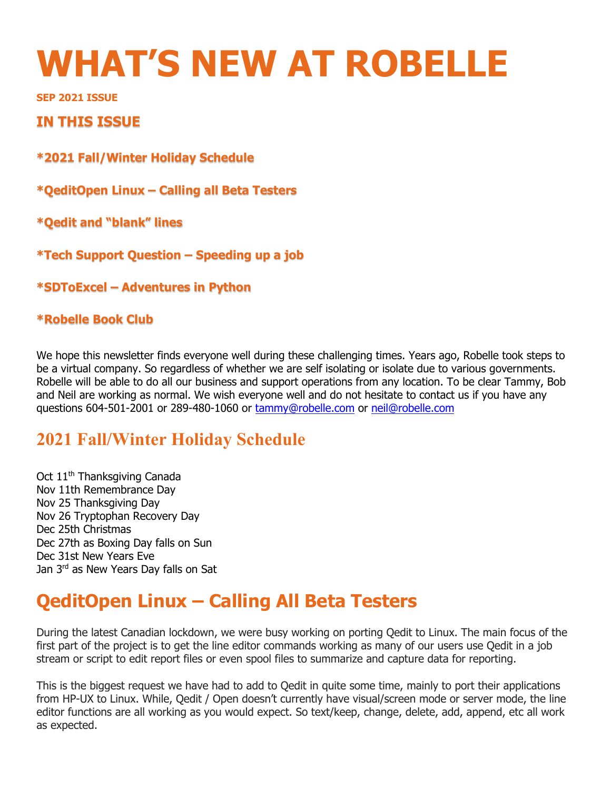# **WHAT'S NEW AT ROBELLE**

**SEP 2021 ISSUE** 

#### **IN THIS ISSUE**

**\*2021 Fall/Winter Holiday Schedule**

**\*QeditOpen Linux – Calling all Beta Testers**

**\*Qedit and "blank" lines**

**\*Tech Support Question – Speeding up a job** 

**\*SDToExcel – Adventures in Python**

#### **\*Robelle Book Club**

We hope this newsletter finds everyone well during these challenging times. Years ago, Robelle took steps to be a virtual company. So regardless of whether we are self isolating or isolate due to various governments. Robelle will be able to do all our business and support operations from any location. To be clear Tammy, Bob and Neil are working as normal. We wish everyone well and do not hesitate to contact us if you have any questions 604-501-2001 or 289-480-1060 or tammy@robelle.com or neil@robelle.com

#### **2021 Fall/Winter Holiday Schedule**

Oct 11<sup>th</sup> Thanksgiving Canada Nov 11th Remembrance Day Nov 25 Thanksgiving Day Nov 26 Tryptophan Recovery Day Dec 25th Christmas Dec 27th as Boxing Day falls on Sun Dec 31st New Years Eve Jan 3rd as New Years Day falls on Sat

# **QeditOpen Linux – Calling All Beta Testers**

During the latest Canadian lockdown, we were busy working on porting Qedit to Linux. The main focus of the first part of the project is to get the line editor commands working as many of our users use Qedit in a job stream or script to edit report files or even spool files to summarize and capture data for reporting.

This is the biggest request we have had to add to Qedit in quite some time, mainly to port their applications from HP-UX to Linux. While, Qedit / Open doesn't currently have visual/screen mode or server mode, the line editor functions are all working as you would expect. So text/keep, change, delete, add, append, etc all work as expected.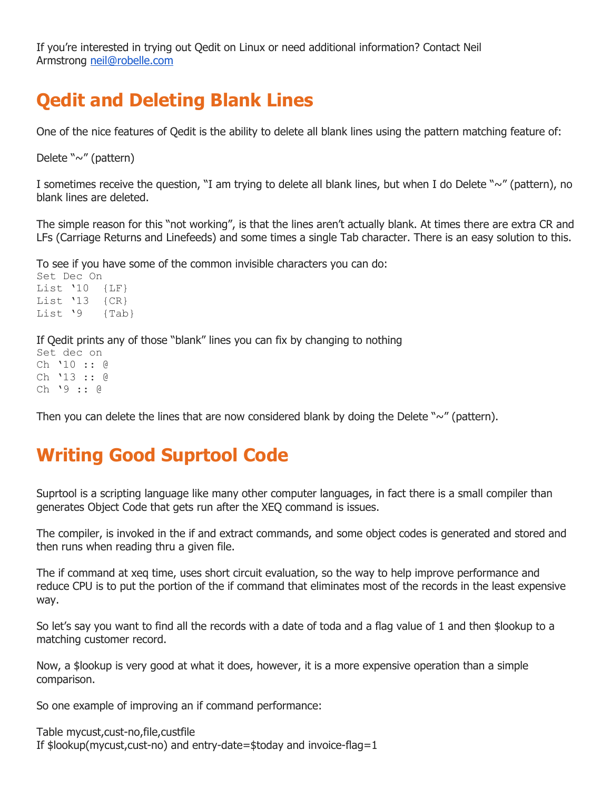If you're interested in trying out Qedit on Linux or need additional information? Contact Neil Armstrong neil@robelle.com

## **Qedit and Deleting Blank Lines**

One of the nice features of Qedit is the ability to delete all blank lines using the pattern matching feature of:

Delete "~" (pattern)

I sometimes receive the question, "I am trying to delete all blank lines, but when I do Delete "~" (pattern), no blank lines are deleted.

The simple reason for this "not working", is that the lines aren't actually blank. At times there are extra CR and LFs (Carriage Returns and Linefeeds) and some times a single Tab character. There is an easy solution to this.

To see if you have some of the common invisible characters you can do:

Set Dec On List '10 {LF} List '13 {CR} List '9 {Tab}

If Qedit prints any of those "blank" lines you can fix by changing to nothing

Set dec on Ch '10 :: @ Ch '13 :: @ Ch '9 :: @

Then you can delete the lines that are now considered blank by doing the Delete " $\sim$ " (pattern).

### **Writing Good Suprtool Code**

Suprtool is a scripting language like many other computer languages, in fact there is a small compiler than generates Object Code that gets run after the XEQ command is issues.

The compiler, is invoked in the if and extract commands, and some object codes is generated and stored and then runs when reading thru a given file.

The if command at xeq time, uses short circuit evaluation, so the way to help improve performance and reduce CPU is to put the portion of the if command that eliminates most of the records in the least expensive way.

So let's say you want to find all the records with a date of toda and a flag value of 1 and then \$lookup to a matching customer record.

Now, a \$lookup is very good at what it does, however, it is a more expensive operation than a simple comparison.

So one example of improving an if command performance:

Table mycust,cust-no,file,custfile If \$lookup(mycust,cust-no) and entry-date=\$today and invoice-flag=1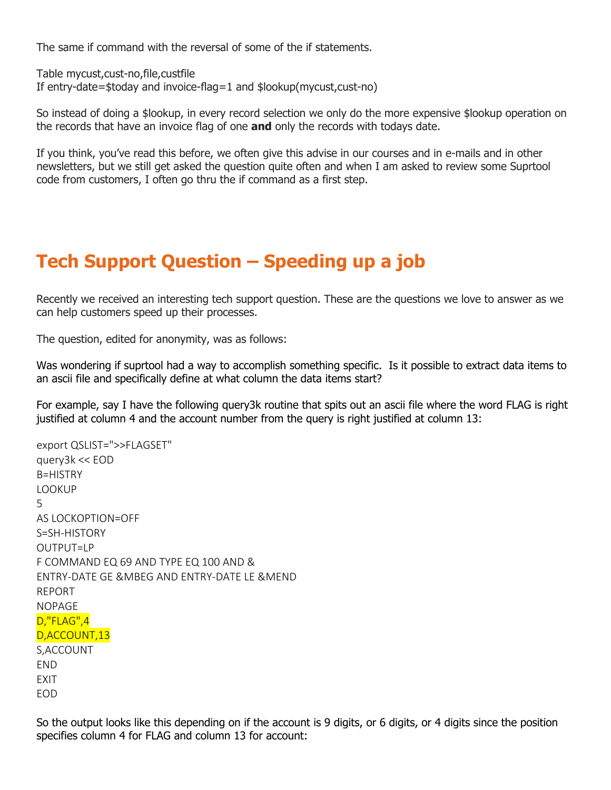The same if command with the reversal of some of the if statements.

Table mycust,cust-no,file,custfile If entry-date=\$today and invoice-flag=1 and \$lookup(mycust,cust-no)

So instead of doing a \$lookup, in every record selection we only do the more expensive \$lookup operation on the records that have an invoice flag of one **and** only the records with todays date.

If you think, you've read this before, we often give this advise in our courses and in e-mails and in other newsletters, but we still get asked the question quite often and when I am asked to review some Suprtool code from customers, I often go thru the if command as a first step.

## **Tech Support Question – Speeding up a job**

Recently we received an interesting tech support question. These are the questions we love to answer as we can help customers speed up their processes.

The question, edited for anonymity, was as follows:

Was wondering if suprtool had a way to accomplish something specific. Is it possible to extract data items to an ascii file and specifically define at what column the data items start?

For example, say I have the following query3k routine that spits out an ascii file where the word FLAG is right justified at column 4 and the account number from the query is right justified at column 13:

export QSLIST=">>FLAGSET" query3k << EOD B=HISTRY LOOKUP 5 AS LOCKOPTION=OFF S=SH-HISTORY OUTPUT=LP F COMMAND EQ 69 AND TYPE EQ 100 AND & ENTRY-DATE GE &MBEG AND ENTRY-DATE LE &MEND REPORT NOPAGE D,"FLAG",4 D,ACCOUNT,13 S,ACCOUNT END EXIT EOD

So the output looks like this depending on if the account is 9 digits, or 6 digits, or 4 digits since the position specifies column 4 for FLAG and column 13 for account: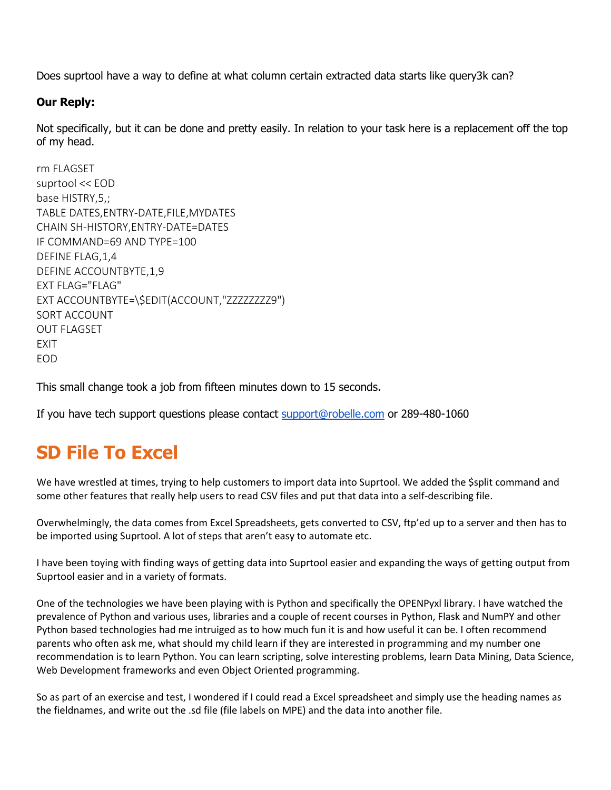Does suprtool have a way to define at what column certain extracted data starts like query3k can?

#### **Our Reply:**

Not specifically, but it can be done and pretty easily. In relation to your task here is a replacement off the top of my head.

```
rm FLAGSET
suprtool << EOD
base HISTRY,5,;
TABLE DATES,ENTRY-DATE,FILE,MYDATES
CHAIN SH-HISTORY,ENTRY-DATE=DATES
IF COMMAND=69 AND TYPE=100
DEFINE FLAG,1,4
DEFINE ACCOUNTBYTE,1,9
EXT FLAG="FLAG"
EXT ACCOUNTBYTE=\$EDIT(ACCOUNT,"ZZZZZZZZ9")
SORT ACCOUNT
OUT FLAGSET
EXIT
EOD
```
This small change took a job from fifteen minutes down to 15 seconds.

If you have tech support questions please contact support@robelle.com or 289-480-1060

### **SD File To Excel**

We have wrestled at times, trying to help customers to import data into Suprtool. We added the \$split command and some other features that really help users to read CSV files and put that data into a self-describing file.

Overwhelmingly, the data comes from Excel Spreadsheets, gets converted to CSV, ftp'ed up to a server and then has to be imported using Suprtool. A lot of steps that aren't easy to automate etc.

I have been toying with finding ways of getting data into Suprtool easier and expanding the ways of getting output from Suprtool easier and in a variety of formats.

One of the technologies we have been playing with is Python and specifically the OPENPyxl library. I have watched the prevalence of Python and various uses, libraries and a couple of recent courses in Python, Flask and NumPY and other Python based technologies had me intruiged as to how much fun it is and how useful it can be. I often recommend parents who often ask me, what should my child learn if they are interested in programming and my number one recommendation is to learn Python. You can learn scripting, solve interesting problems, learn Data Mining, Data Science, Web Development frameworks and even Object Oriented programming.

So as part of an exercise and test, I wondered if I could read a Excel spreadsheet and simply use the heading names as the fieldnames, and write out the .sd file (file labels on MPE) and the data into another file.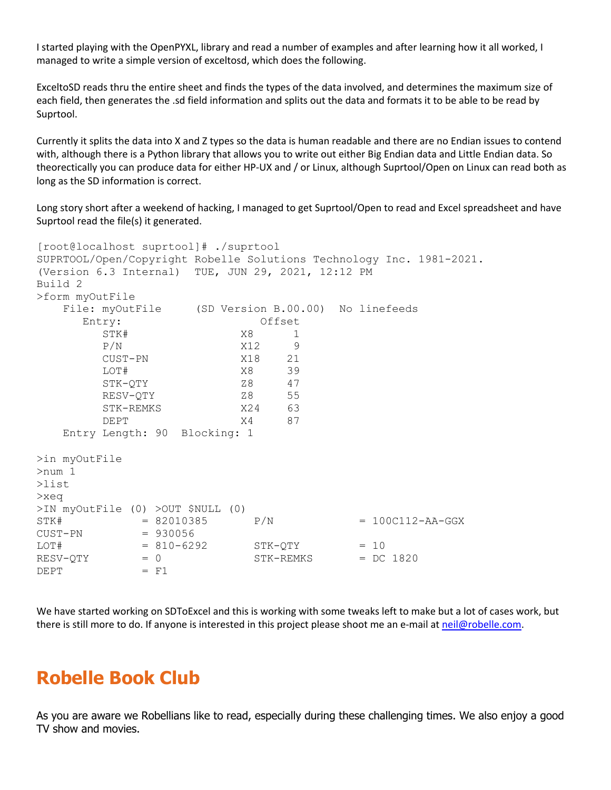I started playing with the OpenPYXL, library and read a number of examples and after learning how it all worked, I managed to write a simple version of exceltosd, which does the following.

ExceltoSD reads thru the entire sheet and finds the types of the data involved, and determines the maximum size of each field, then generates the .sd field information and splits out the data and formats it to be able to be read by Suprtool.

Currently it splits the data into X and Z types so the data is human readable and there are no Endian issues to contend with, although there is a Python library that allows you to write out either Big Endian data and Little Endian data. So theorectically you can produce data for either HP-UX and / or Linux, although Suprtool/Open on Linux can read both as long as the SD information is correct.

Long story short after a weekend of hacking, I managed to get Suprtool/Open to read and Excel spreadsheet and have Suprtool read the file(s) it generated.

```
[root@localhost suprtool]# ./suprtool
SUPRTOOL/Open/Copyright Robelle Solutions Technology Inc. 1981-2021.
(Version 6.3 Internal) TUE, JUN 29, 2021, 12:12 PM
Build 2
>form myOutFile
    File: myOutFile (SD Version B.00.00) No linefeeds
       Entry: Offset
        STK# X8 1
        P/N <br>
CUST-PN X18 21
         CUST-PN X18 21
         LOT# X8 39
         STK-QTY Z8 47
        RESV-QTY 28 55
         STK-REMKS X24 63
         DEPT X4 87
    Entry Length: 90 Blocking: 1
>in myOutFile
>num 1
>list
>xeq
>IN myOutFile (0) >OUT $NULL (0)
STK# = 82010385 P/N = 100C112-AA-GGX
CUST-PN = 930056<br>LOT# = 810-6292
\begin{array}{lcl}\n & = & 810 - 6292 & \text{STK}-\text{QTY} & = & 10 \\
\text{RESV}-\text{QTY} & = & 0 & \text{STK}-\text{REMXS} & = & \text{DC}\n\end{array}= 0 STK-REMKS = DC 1820<br>= F1
DEPT
```
We have started working on SDToExcel and this is working with some tweaks left to make but a lot of cases work, but there is still more to do. If anyone is interested in this project please shoot me an e-mail at neil@robelle.com.

#### **Robelle Book Club**

As you are aware we Robellians like to read, especially during these challenging times. We also enjoy a good TV show and movies.